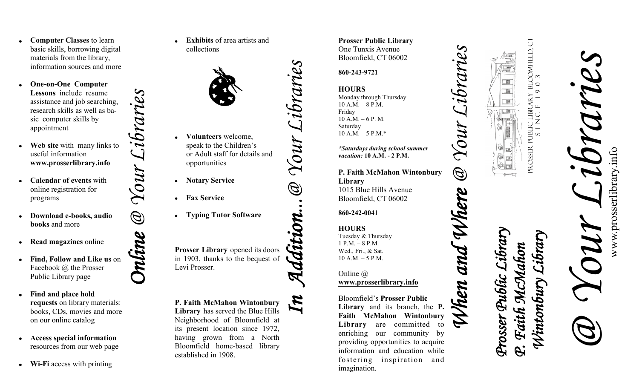- **Computer Classes** to learn basic skills, borrowing digital materials from the library, information sources and more
- **One -on -One Computer Lessons** include resume assistance and job searching, research skills as well as basic computer skills by appointment
- **Web site** with many links to useful information **www.prosserlibrary.info**
- **Calendar of events** with online registration for programs
- **Download e -books, audio books** and more
- **Read magazines** online
- **Find, Follow and Like us** on Facebook @ the Prosser Public Library page
- **Find and place hold requests** on library materials: books, CDs, movies and more on our online catalog
- **Access special information**  resources from our web page
- **Wi -Fi** access with printing

**Exhibits** of area artists and collections



- **Volunteers** welcome,  $\bullet$  speak to the Children's or Adult staff for details and opportunities
- **Notary Service**
- **Fax Service**

*Online @ Your Libraries*

 $\bigcirc\!\!\!\!\!{}^{\mathscr{G}}$ 

 $\mathcal{U}$ 

Librar

**Typing Tutor Software**

**Prosser Library** opened its doors in 1903, thanks to the bequest of Levi Prosser.

**P. Faith McMahon Wintonbury Library** has served the Blue Hills Neighborhood of Bloomfield at its present location since 1972, having grown from a North Bloomfield home -based library established in 1908. *In Addition...@ Your Libraries*

**Prosser Public Library** One Tunxis Avenue Bloomfield, CT 06002

## **860 -243 -9721**

sibrari

Your.

 $\mathcal{B}$ 

**HOURS** Monday through Thursday 10 A.M. – 8 P.M. Friday  $10 A.M. - 6 P.M.$ Saturday  $10 A.M. - 5 P.M.*$ 

*\*Saturdays during school summer vacation:* **10 A.M. - 2 P.M.** 

**P. Faith McMahon Wintonbury Library** 1015 Blue Hills Avenue Bloomfield, CT 06002

**860 -242 -0041**

**HOURS** Tuesday & Thursday 1 P.M. – 8 P.M. Wed., Fri., & Sat. 10 A.M. – 5 P.M.

Online @ **www.prosserlibrary.info**

Bloomfield's **Prosser Public Library** and its branch, the **P. Faith McMahon Wintonbury Library** are committed to enriching our community by providing opportunities to acquire information and education while fostering inspiration and imagination.

Prosser Public Library Bloomfield, CT S I N C E 1 0 1 9 0 3



*@ Your Libraries* www.prosserlibrary.infowww.prosserlibrary